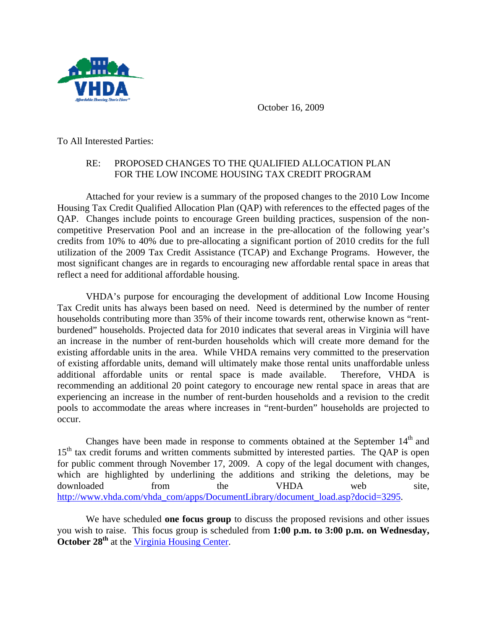

October 16, 2009

To All Interested Parties:

## RE: PROPOSED CHANGES TO THE QUALIFIED ALLOCATION PLAN FOR THE LOW INCOME HOUSING TAX CREDIT PROGRAM

Attached for your review is a summary of the proposed changes to the 2010 Low Income Housing Tax Credit Qualified Allocation Plan (QAP) with references to the effected pages of the QAP. Changes include points to encourage Green building practices, suspension of the noncompetitive Preservation Pool and an increase in the pre-allocation of the following year's credits from 10% to 40% due to pre-allocating a significant portion of 2010 credits for the full utilization of the 2009 Tax Credit Assistance (TCAP) and Exchange Programs. However, the most significant changes are in regards to encouraging new affordable rental space in areas that reflect a need for additional affordable housing.

VHDA's purpose for encouraging the development of additional Low Income Housing Tax Credit units has always been based on need. Need is determined by the number of renter households contributing more than 35% of their income towards rent, otherwise known as "rentburdened" households. Projected data for 2010 indicates that several areas in Virginia will have an increase in the number of rent-burden households which will create more demand for the existing affordable units in the area. While VHDA remains very committed to the preservation of existing affordable units, demand will ultimately make those rental units unaffordable unless additional affordable units or rental space is made available. Therefore, VHDA is recommending an additional 20 point category to encourage new rental space in areas that are experiencing an increase in the number of rent-burden households and a revision to the credit pools to accommodate the areas where increases in "rent-burden" households are projected to occur.

Changes have been made in response to comments obtained at the September  $14<sup>th</sup>$  and 15<sup>th</sup> tax credit forums and written comments submitted by interested parties. The QAP is open for public comment through November 17, 2009. A copy of the legal document with changes, which are highlighted by underlining the additions and striking the deletions, may be downloaded from the VHDA web site, [http://www.vhda.com/vhda\\_com/apps/DocumentLibrary/document\\_load.asp?docid=3295.](http://www.vhda.com/vhda_com/apps/DocumentLibrary/document_load.asp?docid=3295)

We have scheduled **one focus group** to discuss the proposed revisions and other issues you wish to raise. This focus group is scheduled from **1:00 p.m. to 3:00 p.m. on Wednesday, October 28<sup>th</sup>** at the [Virginia Housing Center](http://www.vhda.com/vhda_com/Template_a.asp?VHDA_COM_PAGE_NAME=DirectionstotheVirginiaHousingCenter).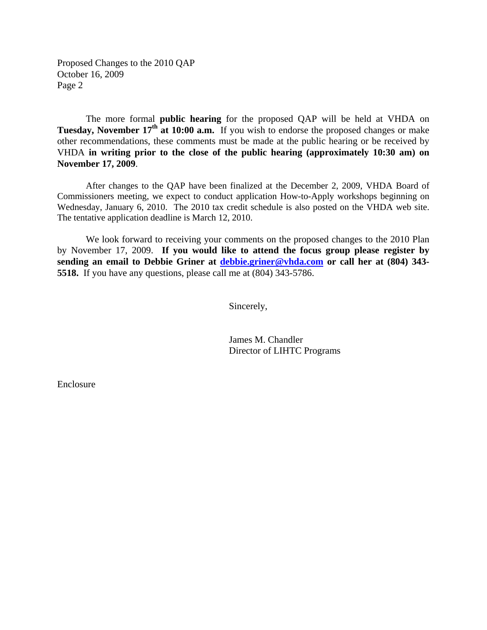Proposed Changes to the 2010 QAP October 16, 2009 Page 2

The more formal **public hearing** for the proposed QAP will be held at VHDA on **Tuesday, November 17<sup>th</sup> at 10:00 a.m.** If you wish to endorse the proposed changes or make other recommendations, these comments must be made at the public hearing or be received by VHDA **in writing prior to the close of the public hearing (approximately 10:30 am) on November 17, 2009**.

After changes to the QAP have been finalized at the December 2, 2009, VHDA Board of Commissioners meeting, we expect to conduct application How-to-Apply workshops beginning on Wednesday, January 6, 2010. The 2010 tax credit schedule is also posted on the VHDA web site. The tentative application deadline is March 12, 2010.

We look forward to receiving your comments on the proposed changes to the 2010 Plan by November 17, 2009. **If you would like to attend the focus group please register by sending an email to Debbie Griner at [debbie.griner@vhda.com](mailto:debbie.griner@vhda.com) or call her at (804) 343- 5518.** If you have any questions, please call me at (804) 343-5786.

Sincerely,

 James M. Chandler Director of LIHTC Programs

Enclosure